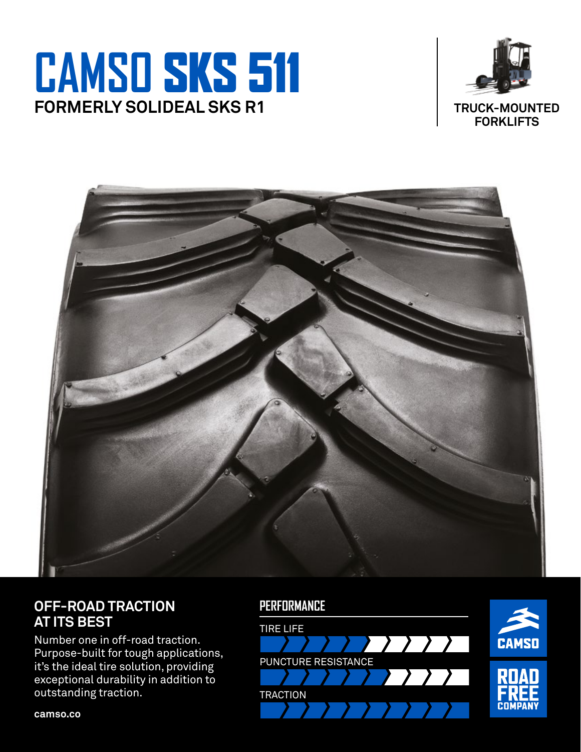## **CAMSO** SKS 511 **FORMERLY SOLIDEAL SKS R1**





## **OFF-ROAD TRACTION AT ITS BEST**

Number one in off-road traction. Purpose-built for tough applications, it's the ideal tire solution, providing exceptional durability in addition to outstanding traction.

### **PERFORMANCE**



**camso.co**